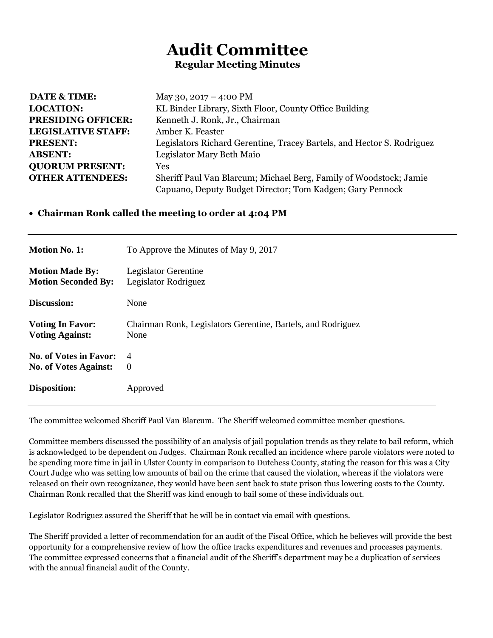## **Audit Committee Regular Meeting Minutes**

| <b>DATE &amp; TIME:</b>   | May 30, $2017 - 4:00 \text{ PM}$                                       |
|---------------------------|------------------------------------------------------------------------|
| <b>LOCATION:</b>          | KL Binder Library, Sixth Floor, County Office Building                 |
| <b>PRESIDING OFFICER:</b> | Kenneth J. Ronk, Jr., Chairman                                         |
| <b>LEGISLATIVE STAFF:</b> | Amber K. Feaster                                                       |
| <b>PRESENT:</b>           | Legislators Richard Gerentine, Tracey Bartels, and Hector S. Rodriguez |
| <b>ABSENT:</b>            | Legislator Mary Beth Maio                                              |
| <b>QUORUM PRESENT:</b>    | <b>Yes</b>                                                             |
| <b>OTHER ATTENDEES:</b>   | Sheriff Paul Van Blarcum; Michael Berg, Family of Woodstock; Jamie     |
|                           | Capuano, Deputy Budget Director; Tom Kadgen; Gary Pennock              |

## **Chairman Ronk called the meeting to order at 4:04 PM**

| <b>Motion No. 1:</b>          | To Approve the Minutes of May 9, 2017                        |
|-------------------------------|--------------------------------------------------------------|
| <b>Motion Made By:</b>        | Legislator Gerentine                                         |
| <b>Motion Seconded By:</b>    | Legislator Rodriguez                                         |
| Discussion:                   | None                                                         |
| <b>Voting In Favor:</b>       | Chairman Ronk, Legislators Gerentine, Bartels, and Rodriguez |
| <b>Voting Against:</b>        | None                                                         |
| <b>No. of Votes in Favor:</b> | $\overline{4}$                                               |
| <b>No. of Votes Against:</b>  | $\Omega$                                                     |
| Disposition:                  | Approved                                                     |

The committee welcomed Sheriff Paul Van Blarcum. The Sheriff welcomed committee member questions.

Committee members discussed the possibility of an analysis of jail population trends as they relate to bail reform, which is acknowledged to be dependent on Judges. Chairman Ronk recalled an incidence where parole violators were noted to be spending more time in jail in Ulster County in comparison to Dutchess County, stating the reason for this was a City Court Judge who was setting low amounts of bail on the crime that caused the violation, whereas if the violators were released on their own recognizance, they would have been sent back to state prison thus lowering costs to the County. Chairman Ronk recalled that the Sheriff was kind enough to bail some of these individuals out.

Legislator Rodriguez assured the Sheriff that he will be in contact via email with questions.

The Sheriff provided a letter of recommendation for an audit of the Fiscal Office, which he believes will provide the best opportunity for a comprehensive review of how the office tracks expenditures and revenues and processes payments. The committee expressed concerns that a financial audit of the Sheriff's department may be a duplication of services with the annual financial audit of the County.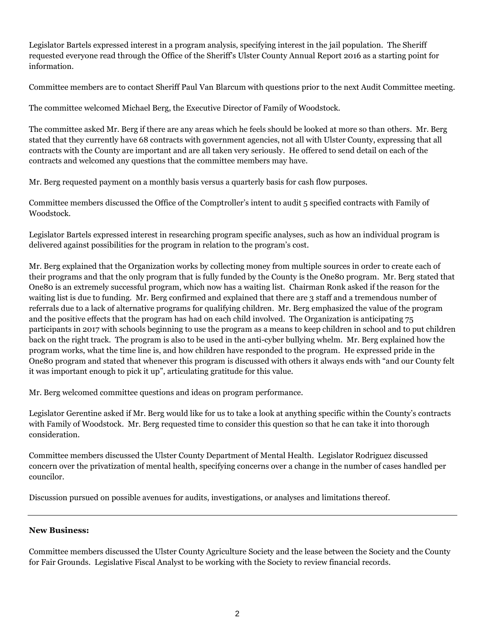Legislator Bartels expressed interest in a program analysis, specifying interest in the jail population. The Sheriff requested everyone read through the Office of the Sheriff's Ulster County Annual Report 2016 as a starting point for information.

Committee members are to contact Sheriff Paul Van Blarcum with questions prior to the next Audit Committee meeting.

The committee welcomed Michael Berg, the Executive Director of Family of Woodstock.

The committee asked Mr. Berg if there are any areas which he feels should be looked at more so than others. Mr. Berg stated that they currently have 68 contracts with government agencies, not all with Ulster County, expressing that all contracts with the County are important and are all taken very seriously. He offered to send detail on each of the contracts and welcomed any questions that the committee members may have.

Mr. Berg requested payment on a monthly basis versus a quarterly basis for cash flow purposes.

Committee members discussed the Office of the Comptroller's intent to audit 5 specified contracts with Family of Woodstock.

Legislator Bartels expressed interest in researching program specific analyses, such as how an individual program is delivered against possibilities for the program in relation to the program's cost.

Mr. Berg explained that the Organization works by collecting money from multiple sources in order to create each of their programs and that the only program that is fully funded by the County is the One80 program. Mr. Berg stated that One80 is an extremely successful program, which now has a waiting list. Chairman Ronk asked if the reason for the waiting list is due to funding. Mr. Berg confirmed and explained that there are 3 staff and a tremendous number of referrals due to a lack of alternative programs for qualifying children. Mr. Berg emphasized the value of the program and the positive effects that the program has had on each child involved. The Organization is anticipating 75 participants in 2017 with schools beginning to use the program as a means to keep children in school and to put children back on the right track. The program is also to be used in the anti-cyber bullying whelm. Mr. Berg explained how the program works, what the time line is, and how children have responded to the program. He expressed pride in the One80 program and stated that whenever this program is discussed with others it always ends with "and our County felt it was important enough to pick it up", articulating gratitude for this value.

Mr. Berg welcomed committee questions and ideas on program performance.

Legislator Gerentine asked if Mr. Berg would like for us to take a look at anything specific within the County's contracts with Family of Woodstock. Mr. Berg requested time to consider this question so that he can take it into thorough consideration.

Committee members discussed the Ulster County Department of Mental Health. Legislator Rodriguez discussed concern over the privatization of mental health, specifying concerns over a change in the number of cases handled per councilor.

Discussion pursued on possible avenues for audits, investigations, or analyses and limitations thereof.

## **New Business:**

Committee members discussed the Ulster County Agriculture Society and the lease between the Society and the County for Fair Grounds. Legislative Fiscal Analyst to be working with the Society to review financial records.